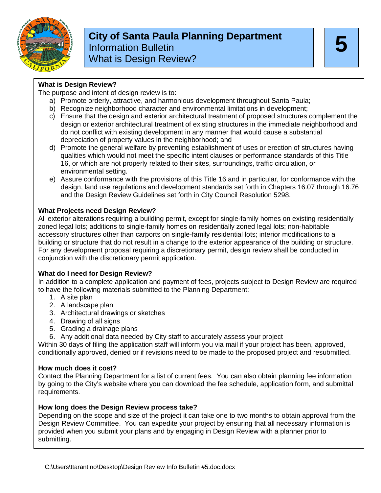

### **5 City of Santa Paula Planning Department** Information Bulletin What is Design Review?

#### **What is Design Review?**

The purpose and intent of design review is to:

- a) Promote orderly, attractive, and harmonious development throughout Santa Paula;
- b) Recognize neighborhood character and environmental limitations in development;
- c) Ensure that the design and exterior architectural treatment of proposed structures complement the design or exterior architectural treatment of existing structures in the immediate neighborhood and do not conflict with existing development in any manner that would cause a substantial depreciation of property values in the neighborhood; and
- d) Promote the general welfare by preventing establishment of uses or erection of structures having qualities which would not meet the specific intent clauses or performance standards of this Title 16, or which are not properly related to their sites, surroundings, traffic circulation, or environmental setting.
- e) Assure conformance with the provisions of this Title 16 and in particular, for conformance with the design, land use regulations and development standards set forth in Chapters 16.07 through 16.76 and the Design Review Guidelines set forth in City Council Resolution 5298.

#### **What Projects need Design Review?**

All exterior alterations requiring a building permit, except for single-family homes on existing residentially zoned legal lots; additions to single-family homes on residentially zoned legal lots; non-habitable accessory structures other than carports on single-family residential lots; interior modifications to a building or structure that do not result in a change to the exterior appearance of the building or structure. For any development proposal requiring a discretionary permit, design review shall be conducted in conjunction with the discretionary permit application.

#### **What do I need for Design Review?**

In addition to a complete application and payment of fees, projects subject to Design Review are required to have the following materials submitted to the Planning Department:

- 1. A site plan
- 2. A landscape plan
- 3. Architectural drawings or sketches
- 4. Drawing of all signs
- 5. Grading a drainage plans
- 6. Any additional data needed by City staff to accurately assess your project

Within 30 days of filing the application staff will inform you via mail if your project has been, approved, conditionally approved, denied or if revisions need to be made to the proposed project and resubmitted.

#### **How much does it cost?**

Contact the Planning Department for a list of current fees. You can also obtain planning fee information by going to the City's website where you can download the fee schedule, application form, and submittal requirements.

#### **How long does the Design Review process take?**

Depending on the scope and size of the project it can take one to two months to obtain approval from the Design Review Committee. You can expedite your project by ensuring that all necessary information is provided when you submit your plans and by engaging in Design Review with a planner prior to submitting.